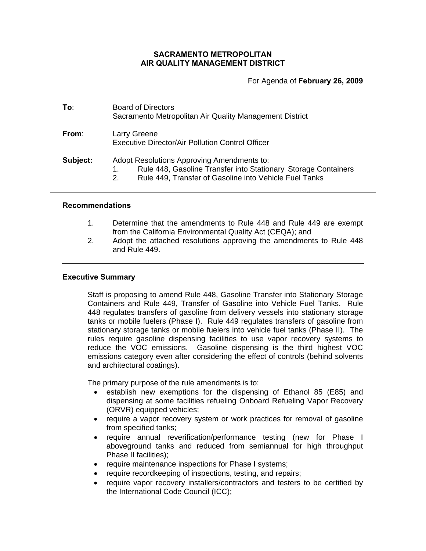# **SACRAMENTO METROPOLITAN AIR QUALITY MANAGEMENT DISTRICT**

For Agenda of **February 26, 2009**

| To∶      | <b>Board of Directors</b><br>Sacramento Metropolitan Air Quality Management District                                                                                         |  |  |
|----------|------------------------------------------------------------------------------------------------------------------------------------------------------------------------------|--|--|
| From:    | Larry Greene<br><b>Executive Director/Air Pollution Control Officer</b>                                                                                                      |  |  |
| Subject: | Adopt Resolutions Approving Amendments to:<br>Rule 448, Gasoline Transfer into Stationary Storage Containers<br>Rule 449, Transfer of Gasoline into Vehicle Fuel Tanks<br>2. |  |  |

### **Recommendations**

- 1. Determine that the amendments to Rule 448 and Rule 449 are exempt from the California Environmental Quality Act (CEQA); and
- 2. Adopt the attached resolutions approving the amendments to Rule 448 and Rule 449.

## **Executive Summary**

Staff is proposing to amend Rule 448, Gasoline Transfer into Stationary Storage Containers and Rule 449, Transfer of Gasoline into Vehicle Fuel Tanks. Rule 448 regulates transfers of gasoline from delivery vessels into stationary storage tanks or mobile fuelers (Phase I). Rule 449 regulates transfers of gasoline from stationary storage tanks or mobile fuelers into vehicle fuel tanks (Phase II). The rules require gasoline dispensing facilities to use vapor recovery systems to reduce the VOC emissions. Gasoline dispensing is the third highest VOC emissions category even after considering the effect of controls (behind solvents and architectural coatings).

The primary purpose of the rule amendments is to:

- establish new exemptions for the dispensing of Ethanol 85 (E85) and dispensing at some facilities refueling Onboard Refueling Vapor Recovery (ORVR) equipped vehicles;
- require a vapor recovery system or work practices for removal of gasoline from specified tanks;
- require annual reverification/performance testing (new for Phase I aboveground tanks and reduced from semiannual for high throughput Phase II facilities);
- require maintenance inspections for Phase I systems;
- require recordkeeping of inspections, testing, and repairs;
- require vapor recovery installers/contractors and testers to be certified by the International Code Council (ICC);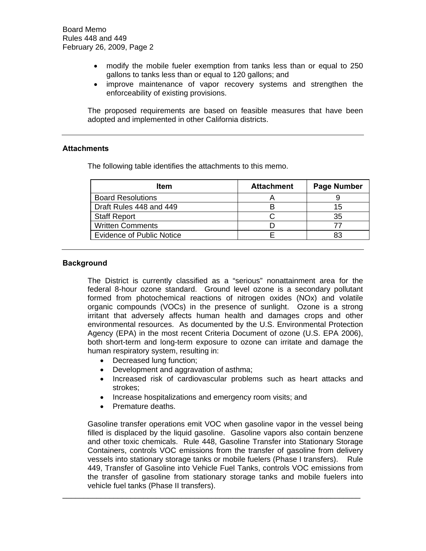- modify the mobile fueler exemption from tanks less than or equal to 250 gallons to tanks less than or equal to 120 gallons; and
- improve maintenance of vapor recovery systems and strengthen the enforceability of existing provisions.

 The proposed requirements are based on feasible measures that have been adopted and implemented in other California districts.

## **Attachments**

The following table identifies the attachments to this memo.

| Item                             | <b>Attachment</b> | <b>Page Number</b> |
|----------------------------------|-------------------|--------------------|
| <b>Board Resolutions</b>         |                   |                    |
| Draft Rules 448 and 449          |                   | 15                 |
| <b>Staff Report</b>              |                   | 35                 |
| <b>Written Comments</b>          |                   |                    |
| <b>Evidence of Public Notice</b> |                   |                    |

## **Background**

The District is currently classified as a "serious" nonattainment area for the federal 8-hour ozone standard. Ground level ozone is a secondary pollutant formed from photochemical reactions of nitrogen oxides (NOx) and volatile organic compounds (VOCs) in the presence of sunlight. Ozone is a strong irritant that adversely affects human health and damages crops and other environmental resources. As documented by the U.S. Environmental Protection Agency (EPA) in the most recent Criteria Document of ozone (U.S. EPA 2006), both short-term and long-term exposure to ozone can irritate and damage the human respiratory system, resulting in:

- Decreased lung function;
- Development and aggravation of asthma;
- Increased risk of cardiovascular problems such as heart attacks and strokes;
- Increase hospitalizations and emergency room visits; and
- Premature deaths.

Gasoline transfer operations emit VOC when gasoline vapor in the vessel being filled is displaced by the liquid gasoline. Gasoline vapors also contain benzene and other toxic chemicals. Rule 448, Gasoline Transfer into Stationary Storage Containers, controls VOC emissions from the transfer of gasoline from delivery vessels into stationary storage tanks or mobile fuelers (Phase I transfers). Rule 449, Transfer of Gasoline into Vehicle Fuel Tanks, controls VOC emissions from the transfer of gasoline from stationary storage tanks and mobile fuelers into vehicle fuel tanks (Phase II transfers).

\_\_\_\_\_\_\_\_\_\_\_\_\_\_\_\_\_\_\_\_\_\_\_\_\_\_\_\_\_\_\_\_\_\_\_\_\_\_\_\_\_\_\_\_\_\_\_\_\_\_\_\_\_\_\_\_\_\_\_\_\_\_\_\_\_\_\_\_\_\_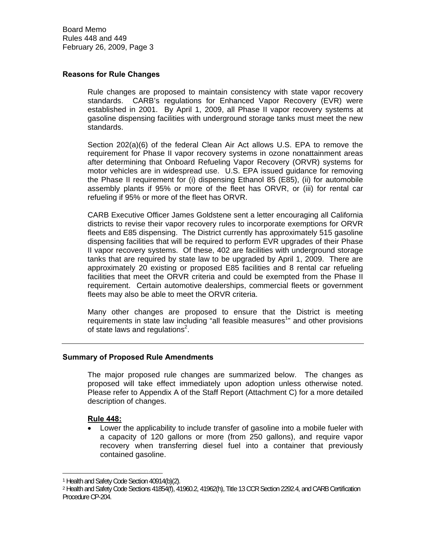Board Memo Rules 448 and 449 February 26, 2009, Page 3

## **Reasons for Rule Changes**

Rule changes are proposed to maintain consistency with state vapor recovery standards. CARB's regulations for Enhanced Vapor Recovery (EVR) were established in 2001. By April 1, 2009, all Phase II vapor recovery systems at gasoline dispensing facilities with underground storage tanks must meet the new standards.

Section 202(a)(6) of the federal Clean Air Act allows U.S. EPA to remove the requirement for Phase II vapor recovery systems in ozone nonattainment areas after determining that Onboard Refueling Vapor Recovery (ORVR) systems for motor vehicles are in widespread use. U.S. EPA issued guidance for removing the Phase II requirement for (i) dispensing Ethanol 85 (E85), (ii) for automobile assembly plants if 95% or more of the fleet has ORVR, or (iii) for rental car refueling if 95% or more of the fleet has ORVR.

CARB Executive Officer James Goldstene sent a letter encouraging all California districts to revise their vapor recovery rules to incorporate exemptions for ORVR fleets and E85 dispensing. The District currently has approximately 515 gasoline dispensing facilities that will be required to perform EVR upgrades of their Phase II vapor recovery systems. Of these, 402 are facilities with underground storage tanks that are required by state law to be upgraded by April 1, 2009. There are approximately 20 existing or proposed E85 facilities and 8 rental car refueling facilities that meet the ORVR criteria and could be exempted from the Phase II requirement. Certain automotive dealerships, commercial fleets or government fleets may also be able to meet the ORVR criteria.

Many other changes are proposed to ensure that the District is meeting requirements in state law including "all feasible measures<sup>1</sup>" and other provisions of state laws and regulations<sup>2</sup>.

## **Summary of Proposed Rule Amendments**

The major proposed rule changes are summarized below. The changes as proposed will take effect immediately upon adoption unless otherwise noted. Please refer to Appendix A of the Staff Report (Attachment C) for a more detailed description of changes.

## **Rule 448:**

 $\overline{a}$ 

• Lower the applicability to include transfer of gasoline into a mobile fueler with a capacity of 120 gallons or more (from 250 gallons), and require vapor recovery when transferring diesel fuel into a container that previously contained gasoline.

<sup>1</sup> Health and Safety Code Section 40914(b)(2).

<sup>2</sup> Health and Safety Code Sections 41854(f), 41960.2, 41962(h), Title 13 CCR Section 2292.4, and CARB Certification Procedure CP-204.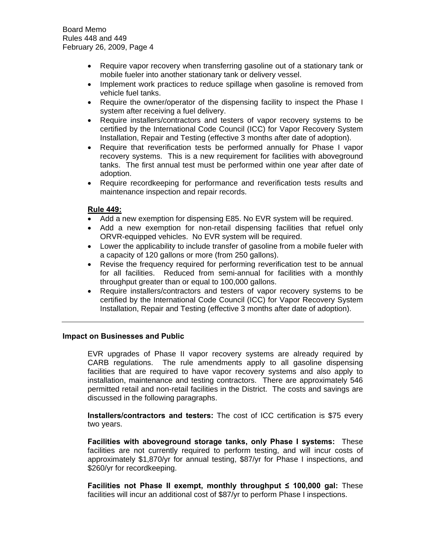- Require vapor recovery when transferring gasoline out of a stationary tank or mobile fueler into another stationary tank or delivery vessel.
- Implement work practices to reduce spillage when gasoline is removed from vehicle fuel tanks.
- Require the owner/operator of the dispensing facility to inspect the Phase I system after receiving a fuel delivery.
- Require installers/contractors and testers of vapor recovery systems to be certified by the International Code Council (ICC) for Vapor Recovery System Installation, Repair and Testing (effective 3 months after date of adoption).
- Require that reverification tests be performed annually for Phase I vapor recovery systems. This is a new requirement for facilities with aboveground tanks. The first annual test must be performed within one year after date of adoption.
- Require recordkeeping for performance and reverification tests results and maintenance inspection and repair records.

# **Rule 449:**

- Add a new exemption for dispensing E85. No EVR system will be required.
- Add a new exemption for non-retail dispensing facilities that refuel only ORVR-equipped vehicles. No EVR system will be required.
- Lower the applicability to include transfer of gasoline from a mobile fueler with a capacity of 120 gallons or more (from 250 gallons).
- Revise the frequency required for performing reverification test to be annual for all facilities. Reduced from semi-annual for facilities with a monthly throughput greater than or equal to 100,000 gallons.
- Require installers/contractors and testers of vapor recovery systems to be certified by the International Code Council (ICC) for Vapor Recovery System Installation, Repair and Testing (effective 3 months after date of adoption).

## **Impact on Businesses and Public**

EVR upgrades of Phase II vapor recovery systems are already required by CARB regulations. The rule amendments apply to all gasoline dispensing facilities that are required to have vapor recovery systems and also apply to installation, maintenance and testing contractors. There are approximately 546 permitted retail and non-retail facilities in the District. The costs and savings are discussed in the following paragraphs.

**Installers/contractors and testers:** The cost of ICC certification is \$75 every two years.

**Facilities with aboveground storage tanks, only Phase I systems:** These facilities are not currently required to perform testing, and will incur costs of approximately \$1,870/yr for annual testing, \$87/yr for Phase I inspections, and \$260/yr for recordkeeping.

**Facilities not Phase II exempt, monthly throughput ≤ 100,000 gal:** These facilities will incur an additional cost of \$87/yr to perform Phase I inspections.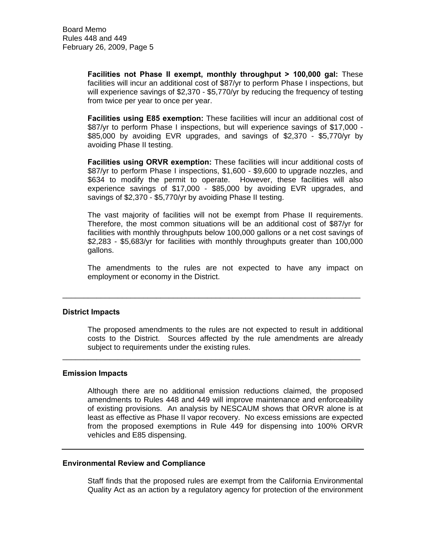**Facilities not Phase II exempt, monthly throughput > 100,000 gal:** These facilities will incur an additional cost of \$87/yr to perform Phase I inspections, but will experience savings of \$2,370 - \$5,770/yr by reducing the frequency of testing from twice per year to once per year.

**Facilities using E85 exemption:** These facilities will incur an additional cost of \$87/yr to perform Phase I inspections, but will experience savings of \$17,000 - \$85,000 by avoiding EVR upgrades, and savings of \$2,370 - \$5,770/yr by avoiding Phase II testing.

**Facilities using ORVR exemption:** These facilities will incur additional costs of \$87/yr to perform Phase I inspections, \$1,600 - \$9,600 to upgrade nozzles, and \$634 to modify the permit to operate. However, these facilities will also experience savings of \$17,000 - \$85,000 by avoiding EVR upgrades, and savings of \$2,370 - \$5,770/yr by avoiding Phase II testing.

The vast majority of facilities will not be exempt from Phase II requirements. Therefore, the most common situations will be an additional cost of \$87/yr for facilities with monthly throughputs below 100,000 gallons or a net cost savings of \$2,283 - \$5,683/yr for facilities with monthly throughputs greater than 100,000 gallons.

The amendments to the rules are not expected to have any impact on employment or economy in the District.

\_\_\_\_\_\_\_\_\_\_\_\_\_\_\_\_\_\_\_\_\_\_\_\_\_\_\_\_\_\_\_\_\_\_\_\_\_\_\_\_\_\_\_\_\_\_\_\_\_\_\_\_\_\_\_\_\_\_\_\_\_\_\_\_\_\_\_\_\_\_

\_\_\_\_\_\_\_\_\_\_\_\_\_\_\_\_\_\_\_\_\_\_\_\_\_\_\_\_\_\_\_\_\_\_\_\_\_\_\_\_\_\_\_\_\_\_\_\_\_\_\_\_\_\_\_\_\_\_\_\_\_\_\_\_\_\_\_\_\_\_

### **District Impacts**

The proposed amendments to the rules are not expected to result in additional costs to the District. Sources affected by the rule amendments are already subject to requirements under the existing rules.

### **Emission Impacts**

Although there are no additional emission reductions claimed, the proposed amendments to Rules 448 and 449 will improve maintenance and enforceability of existing provisions. An analysis by NESCAUM shows that ORVR alone is at least as effective as Phase II vapor recovery. No excess emissions are expected from the proposed exemptions in Rule 449 for dispensing into 100% ORVR vehicles and E85 dispensing.

## **Environmental Review and Compliance**

Staff finds that the proposed rules are exempt from the California Environmental Quality Act as an action by a regulatory agency for protection of the environment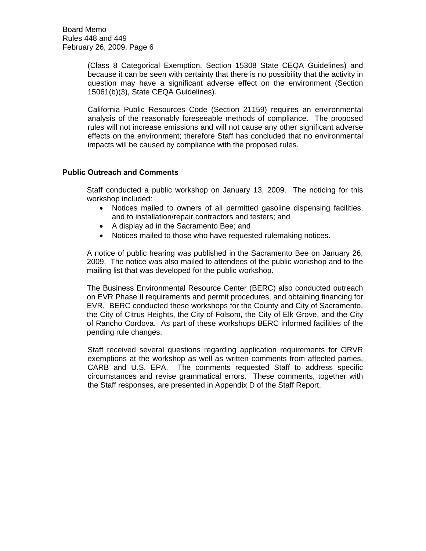(Class 8 Categorical Exemption, Section 15308 State CEQA Guidelines) and because it can be seen with certainty that there is no possibility that the activity in question may have a significant adverse effect on the environment (Section 15061(b)(3), State CEQA Guidelines).

California Public Resources Code (Section 21159) requires an environmental analysis of the reasonably foreseeable methods of compliance. The proposed rules will not increase emissions and will not cause any other significant adverse effects on the environment; therefore Staff has concluded that no environmental impacts will be caused by compliance with the proposed rules.

# **Public Outreach and Comments**

Staff conducted a public workshop on January 13, 2009. The noticing for this workshop included:

- Notices mailed to owners of all permitted gasoline dispensing facilities, and to installation/repair contractors and testers; and
- A display ad in the Sacramento Bee; and
- Notices mailed to those who have requested rulemaking notices.

A notice of public hearing was published in the Sacramento Bee on January 26, 2009. The notice was also mailed to attendees of the public workshop and to the mailing list that was developed for the public workshop.

The Business Environmental Resource Center (BERC) also conducted outreach on EVR Phase II requirements and permit procedures, and obtaining financing for EVR. BERC conducted these workshops for the County and City of Sacramento, the City of Citrus Heights, the City of Folsom, the City of Elk Grove, and the City of Rancho Cordova. As part of these workshops BERC informed facilities of the pending rule changes.

Staff received several questions regarding application requirements for ORVR exemptions at the workshop as well as written comments from affected parties, CARB and U.S. EPA. The comments requested Staff to address specific circumstances and revise grammatical errors. These comments, together with the Staff responses, are presented in Appendix D of the Staff Report.